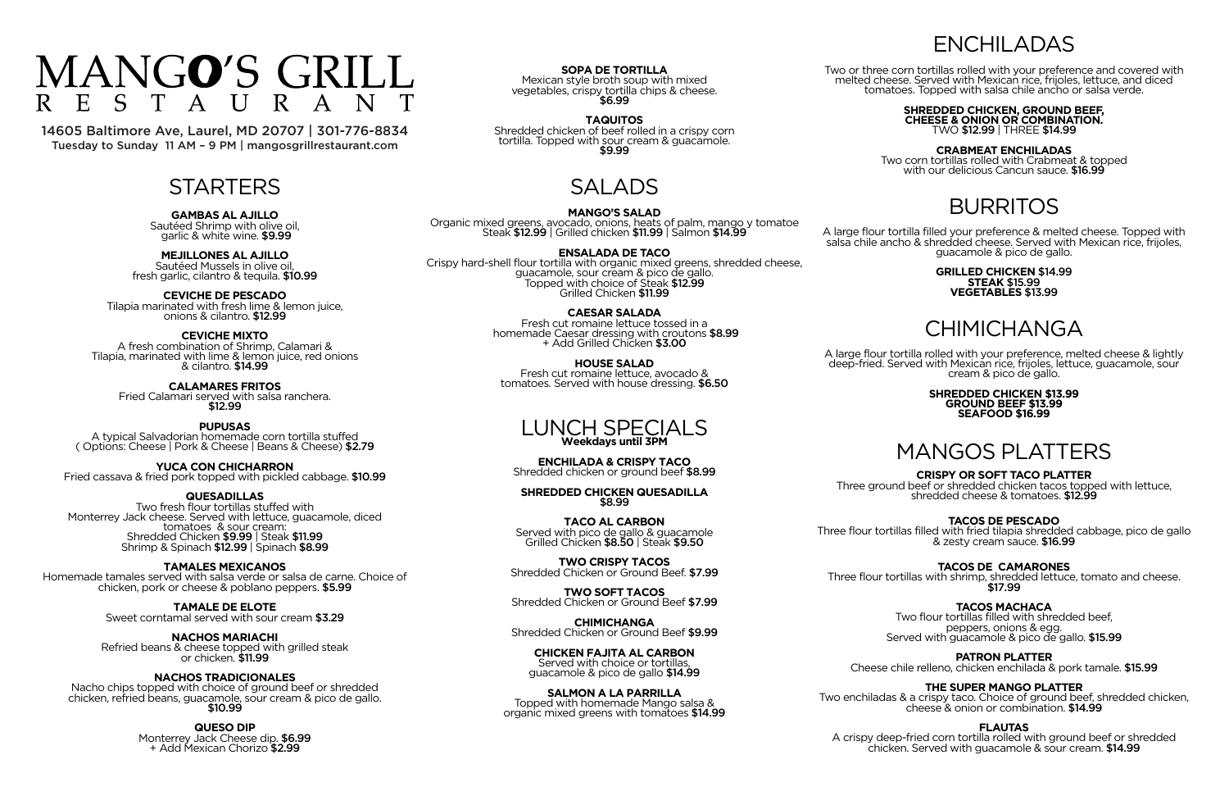#### **GAMBAS AL AJILLO**

Sautéed Shrimp with olive oil, garlic & white wine. \$9.99

**MEJILLONES AL AJILLO**

Sautéed Mussels in olive oil, fresh garlic, cilantro & tequila. \$10.99

**CEVICHE DE PESCADO**

Tilapia marinated with fresh lime & lemon juice, onions & cilantro. \$12.99

**CEVICHE MIXTO**

A fresh combination of Shrimp, Calamari & Tilapia, marinated with lime & lemon juice, red onions & cilantro. \$14.99

**CALAMARES FRITOS** Fried Calamari served with salsa ranchera. \$12.99

**PUPUSAS** A typical Salvadorian homemade corn tortilla stuffed ( Options: Cheese | Pork & Cheese | Beans & Cheese) \$2.79

Nacho chips topped with choice of ground beef or shredded chicken, refried beans, guacamole, sour cream & pico de gallo.<br>\$10.99

**YUCA CON CHICHARRON** Fried cassava & fried pork topped with pickled cabbage. \$10.99

**QUESADILLAS**

**SOPA DE TORTILLA** Mexican style broth soup with mixed vegetables, crispy tortilla chips & cheese.<br>\$6.99

**TAQUITOS** Shredded chicken of beef rolled in a crispy corn tortilla. Topped with sour cream & guacamole.<br>\$9.99

Two fresh flour tortillas stuffed with Monterrey Jack cheese. Served with lettuce, guacamole, diced tomatoes & sour cream: Shredded Chicken \$9.99 | Steak \$11.99 Shrimp & Spinach \$12.99 | Spinach \$8.99

**TAMALES MEXICANOS**

Homemade tamales served with salsa verde or salsa de carne. Choice of chicken, pork or cheese & poblano peppers. \$5.99

**TAMALE DE ELOTE**

Sweet corntamal served with sour cream \$3.29

**NACHOS MARIACHI**

Refried beans & cheese topped with grilled steak or chicken. \$11.99

**NACHOS TRADICIONALES**

**QUESO DIP**

Monterrey Jack Cheese dip. \$6.99 + Add Mexican Chorizo \$2.99

# SALADS

**MANGO'S SALAD** Organic mixed greens, avocado, onions, heats of palm, mango y tomatoe Steak \$12.99 | Grilled chicken \$11.99 | Salmon \$14.99

**ENSALADA DE TACO**

Crispy hard-shell flour tortilla with organic mixed greens, shredded cheese, guacamole, sour cream & pico de gallo. Topped with choice of Steak \$12.99 Grilled Chicken \$11.99

> **CAESAR SALADA** Fresh cut romaine lettuce tossed in a homemade Caesar dressing with croutons \$8.99 + Add Grilled Chicken \$3.00

**HOUSE SALAD** Fresh cut romaine lettuce, avocado & tomatoes. Served with house dressing. \$6.50

> A crispy deep-fried corn tortilla rolled with ground beef or shredded chicken. Served with guacamole & sour cream.  $$14.99$

### LUNCH SPECIALS **Weekdays until 3PM**

**ENCHILADA & CRISPY TACO** Shredded chicken or ground beef \$8.99

**SHREDDED CHICKEN QUESADILLA** \$8.99

**TACO AL CARBON** Served with pico de gallo & guacamole Grilled Chicken \$8.50 | Steak \$9.50

**TWO CRISPY TACOS** Shredded Chicken or Ground Beef. \$7.99

**TWO SOFT TACOS** Shredded Chicken or Ground Beef \$7.99

**CHIMICHANGA** Shredded Chicken or Ground Beef \$9.99

**CHICKEN FAJITA AL CARBON** Served with choice or tortillas, guacamole & pico de gallo \$14.99

**SALMON A LA PARRILLA** Topped with homemade Mango salsa & organic mixed greens with tomatoes \$14.99

# ENCHILADAS

Two or three corn tortillas rolled with your preference and covered with melted cheese. Served with Mexican rice, frijoles, lettuce, and diced tomatoes. Topped with salsa chile ancho or salsa verde.

**SHREDDED CHICKEN, GROUND BEEF, CHEESE & ONION OR COMBINATION.** TWO \$12.99 | THREE \$14.99

#### **CRABMEAT ENCHILADAS**

Two corn tortillas rolled with Crabmeat & topped with our delicious Cancun sauce. \$16.99

## BURRITOS

A large flour tortilla filled your preference & melted cheese. Topped with salsa chile ancho & shredded cheese. Served with Mexican rice, frijoles, guacamole & pico de gallo.

#### **GRILLED CHICKEN** \$14.99 **STEAK** \$15.99 **VEGETABLES** \$13.99

# **CHIMICHANGA**

A large flour tortilla rolled with your preference, melted cheese & lightly deep-fried. Served with Mexican rice, frijoles, lettuce, guacamole, sour cream & pico de gallo.

#### **SHREDDED CHICKEN \$13.99 GROUND BEEF \$13.99 SEAFOOD \$16.99**

# MANGOS PLATTERS

### **CRISPY OR SOFT TACO PLATTER**

Three ground beef or shredded chicken tacos topped with lettuce, shredded cheese & tomatoes. \$12.99

### **TACOS DE PESCADO**

Three flour tortillas filled with fried tilapia shredded cabbage, pico de gallo & zesty cream sauce. \$16.99

Three flour tortillas with shrimp, shredded lettuce, tomato and cheese.<br>\$17.99

### **TACOS DE CAMARONES**

### **TACOS MACHACA**

Two flour tortillas filled with shredded beef, peppers, onions & egg. Served with guacamole & pico de gallo. \$15.99

### **PATRON PLATTER**

Cheese chile relleno, chicken enchilada & pork tamale. \$15.99

### **THE SUPER MANGO PLATTER**

Two enchiladas & a crispy taco. Choice of ground beef, shredded chicken, cheese & onion or combination. \$14.99

### **FLAUTAS**

#### MANGO'S GRILL  $\Gamma$ R  $E$  $\mathcal{S}$  $\mathsf{A}$

14605 Baltimore Ave, Laurel, MD 20707 | 301-776-8834 Tuesday to Sunday 11 AM – 9 PM | mangosgrillrestaurant.com

## **STARTERS**